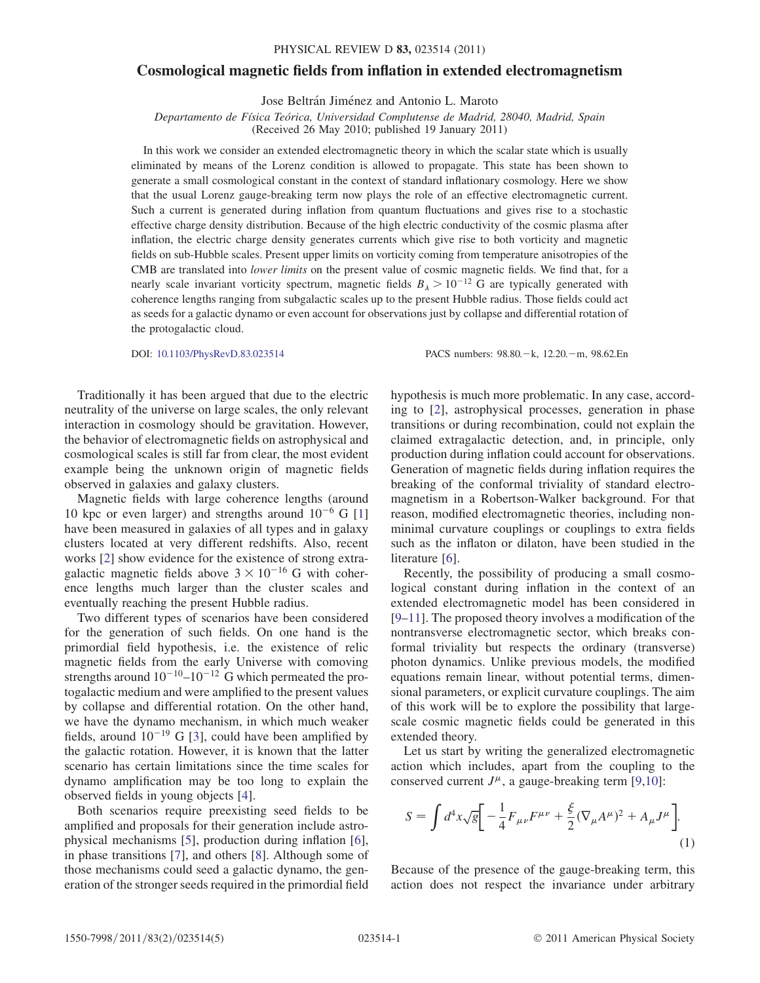## Cosmological magnetic fields from inflation in extended electromagnetism

Jose Beltrán Jiménez and Antonio L. Maroto

Departamento de Física Teórica, Universidad Complutense de Madrid, 28040, Madrid, Spain

(Received 26 May 2010; published 19 January 2011)

In this work we consider an extended electromagnetic theory in which the scalar state which is usually eliminated by means of the Lorenz condition is allowed to propagate. This state has been shown to generate a small cosmological constant in the context of standard inflationary cosmology. Here we show that the usual Lorenz gauge-breaking term now plays the role of an effective electromagnetic current. Such a current is generated during inflation from quantum fluctuations and gives rise to a stochastic effective charge density distribution. Because of the high electric conductivity of the cosmic plasma after inflation, the electric charge density generates currents which give rise to both vorticity and magnetic fields on sub-Hubble scales. Present upper limits on vorticity coming from temperature anisotropies of the CMB are translated into lower limits on the present value of cosmic magnetic fields. We find that, for a nearly scale invariant vorticity spectrum, magnetic fields  $B_{\lambda} > 10^{-12}$  G are typically generated with coherence lengths ranging from subgalactic scales up to the present Hubble radius. Those fields could act as seeds for a galactic dynamo or even account for observations just by collapse and differential rotation of the protogalactic cloud.

DOI: [10.1103/PhysRevD.83.023514](http://dx.doi.org/10.1103/PhysRevD.83.023514) PACS numbers: 98.80.k, 12.20.m, 98.62.En

Traditionally it has been argued that due to the electric neutrality of the universe on large scales, the only relevant interaction in cosmology should be gravitation. However, the behavior of electromagnetic fields on astrophysical and cosmological scales is still far from clear, the most evident example being the unknown origin of magnetic fields observed in galaxies and galaxy clusters.

Magnetic fields with large coherence lengths (around 10 kpc or even larger) and strengths around  $10^{-6}$  G [\[1\]](#page-4-0) have been measured in galaxies of all types and in galaxy clusters located at very different redshifts. Also, recent works [[2\]](#page-4-1) show evidence for the existence of strong extragalactic magnetic fields above  $3 \times 10^{-16}$  G with coherence lengths much larger than the cluster scales and eventually reaching the present Hubble radius.

Two different types of scenarios have been considered for the generation of such fields. On one hand is the primordial field hypothesis, i.e. the existence of relic magnetic fields from the early Universe with comoving strengths around  $10^{-10}$ – $10^{-12}$  G which permeated the protogalactic medium and were amplified to the present values by collapse and differential rotation. On the other hand, we have the dynamo mechanism, in which much weaker fields, around  $10^{-19}$  G [[3\]](#page-4-2), could have been amplified by the galactic rotation. However, it is known that the latter scenario has certain limitations since the time scales for dynamo amplification may be too long to explain the observed fields in young objects [[4](#page-4-3)].

Both scenarios require preexisting seed fields to be amplified and proposals for their generation include astrophysical mechanisms [\[5](#page-4-4)], production during inflation [[6\]](#page-4-5), in phase transitions [[7\]](#page-4-6), and others [[8](#page-4-7)]. Although some of those mechanisms could seed a galactic dynamo, the generation of the stronger seeds required in the primordial field

hypothesis is much more problematic. In any case, according to [[2](#page-4-1)], astrophysical processes, generation in phase transitions or during recombination, could not explain the claimed extragalactic detection, and, in principle, only production during inflation could account for observations. Generation of magnetic fields during inflation requires the breaking of the conformal triviality of standard electromagnetism in a Robertson-Walker background. For that reason, modified electromagnetic theories, including nonminimal curvature couplings or couplings to extra fields such as the inflaton or dilaton, have been studied in the literature [\[6\]](#page-4-5).

Recently, the possibility of producing a small cosmological constant during inflation in the context of an extended electromagnetic model has been considered in [\[9–](#page-4-8)[11](#page-4-9)]. The proposed theory involves a modification of the nontransverse electromagnetic sector, which breaks conformal triviality but respects the ordinary (transverse) photon dynamics. Unlike previous models, the modified equations remain linear, without potential terms, dimensional parameters, or explicit curvature couplings. The aim of this work will be to explore the possibility that largescale cosmic magnetic fields could be generated in this extended theory.

Let us start by writing the generalized electromagnetic action which includes, apart from the coupling to the conserved current  $J^{\mu}$ , a gauge-breaking term [\[9](#page-4-8),[10](#page-4-10)]:

<span id="page-0-0"></span>
$$
S = \int d^4x \sqrt{g} \bigg[ -\frac{1}{4} F_{\mu\nu} F^{\mu\nu} + \frac{\xi}{2} (\nabla_{\mu} A^{\mu})^2 + A_{\mu} J^{\mu} \bigg].
$$
\n(1)

Because of the presence of the gauge-breaking term, this action does not respect the invariance under arbitrary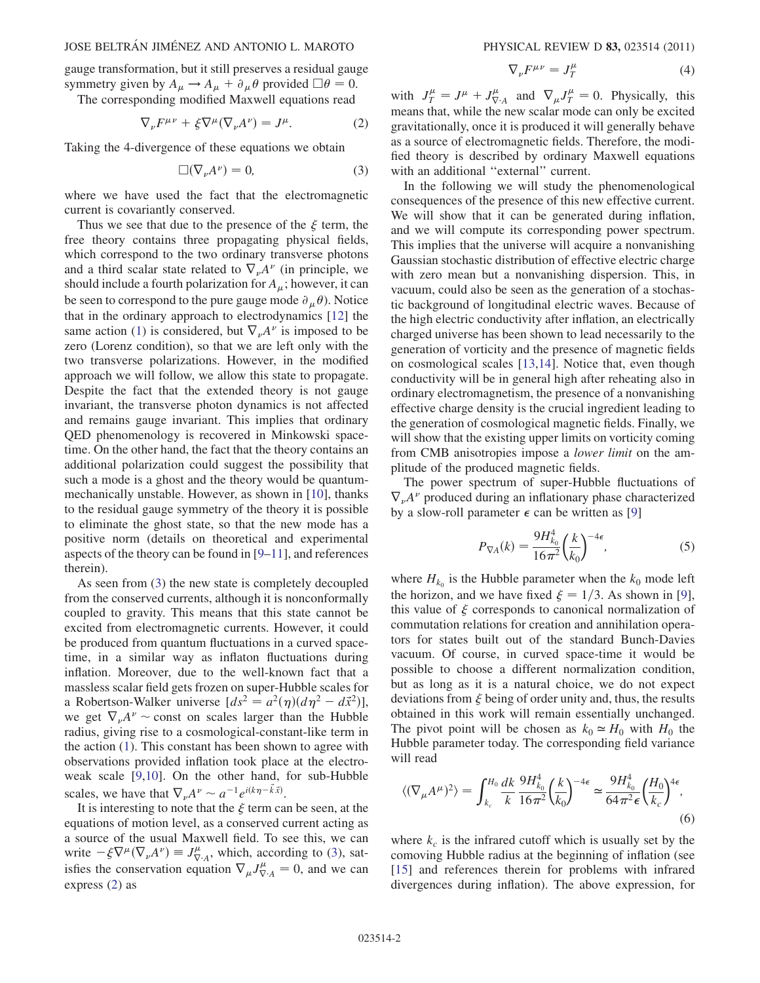## JOSE BELTRÁN JIMÉNEZ AND ANTONIO L. MAROTO PHYSICAL REVIEW D 83, 023514 (2011)

gauge transformation, but it still preserves a residual gauge symmetry given by  $A_{\mu} \rightarrow A_{\mu} + \partial_{\mu} \theta$  provided  $\Box \theta = 0$ .

<span id="page-1-1"></span>The corresponding modified Maxwell equations read

$$
\nabla_{\nu} F^{\mu\nu} + \xi \nabla^{\mu} (\nabla_{\nu} A^{\nu}) = J^{\mu}.
$$
 (2)

<span id="page-1-0"></span>Taking the 4-divergence of these equations we obtain

$$
\Box(\nabla_{\nu}A^{\nu})=0,\t\t(3)
$$

where we have used the fact that the electromagnetic current is covariantly conserved.

Thus we see that due to the presence of the  $\xi$  term, the free theory contains three propagating physical fields, which correspond to the two ordinary transverse photons and a third scalar state related to  $\nabla_{\nu}A^{\nu}$  (in principle, we should include a fourth polarization for  $A_\mu$ ; however, it can be seen to correspond to the pure gauge mode  $\partial_{\mu}\theta$ ). Notice that in the ordinary approach to electrodynamics [[12](#page-4-11)] the same action [\(1\)](#page-0-0) is considered, but  $\nabla_{\nu}A^{\nu}$  is imposed to be zero (Lorenz condition), so that we are left only with the two transverse polarizations. However, in the modified approach we will follow, we allow this state to propagate. Despite the fact that the extended theory is not gauge invariant, the transverse photon dynamics is not affected and remains gauge invariant. This implies that ordinary QED phenomenology is recovered in Minkowski spacetime. On the other hand, the fact that the theory contains an additional polarization could suggest the possibility that such a mode is a ghost and the theory would be quantummechanically unstable. However, as shown in [\[10\]](#page-4-10), thanks to the residual gauge symmetry of the theory it is possible to eliminate the ghost state, so that the new mode has a positive norm (details on theoretical and experimental aspects of the theory can be found in [[9–](#page-4-8)[11\]](#page-4-9), and references therein).

As seen from [\(3](#page-1-0)) the new state is completely decoupled from the conserved currents, although it is nonconformally coupled to gravity. This means that this state cannot be excited from electromagnetic currents. However, it could be produced from quantum fluctuations in a curved spacetime, in a similar way as inflaton fluctuations during inflation. Moreover, due to the well-known fact that a massless scalar field gets frozen on super-Hubble scales for a Robertson-Walker universe  $(ds^2 = a^2(\eta)(d\eta^2 - d\vec{x}^2))$ , we get  $\nabla_{\nu}A^{\nu} \sim$  const on scales larger than the Hubble radius, giving rise to a cosmological-constant-like term in the action ([1\)](#page-0-0). This constant has been shown to agree with observations provided inflation took place at the electroweak scale [\[9,](#page-4-8)[10\]](#page-4-10). On the other hand, for sub-Hubble scales, we have that  $\nabla_{\nu} A^{\nu} \sim a^{-1} e^{i(k\eta - \vec{k}\cdot\vec{x})}$ .

It is interesting to note that the  $\xi$  term can be seen, at the equations of motion level, as a conserved current acting as a source of the usual Maxwell field. To see this, we can write  $-\xi \nabla^{\mu} (\nabla_{\nu} A^{\nu}) = J_{\nabla \cdot A}^{\mu}$ , which, according to [\(3](#page-1-0)), satisfies the conservation equation  $\nabla_{\mu} J^{\mu}_{\nabla A} = 0$ , and we can express ([2\)](#page-1-1) as

$$
\nabla_{\nu} F^{\mu \nu} = J_T^{\mu} \tag{4}
$$

<span id="page-1-2"></span>with  $J_T^{\mu} = J^{\mu} + J_{\nabla \cdot A}^{\mu}$  and  $\nabla_{\mu} J_T^{\mu} = 0$ . Physically, this means that, while the new scalar mode can only be excited gravitationally, once it is produced it will generally behave as a source of electromagnetic fields. Therefore, the modified theory is described by ordinary Maxwell equations with an additional "external" current.

In the following we will study the phenomenological consequences of the presence of this new effective current. We will show that it can be generated during inflation, and we will compute its corresponding power spectrum. This implies that the universe will acquire a nonvanishing Gaussian stochastic distribution of effective electric charge with zero mean but a nonvanishing dispersion. This, in vacuum, could also be seen as the generation of a stochastic background of longitudinal electric waves. Because of the high electric conductivity after inflation, an electrically charged universe has been shown to lead necessarily to the generation of vorticity and the presence of magnetic fields on cosmological scales [[13](#page-4-12),[14](#page-4-13)]. Notice that, even though conductivity will be in general high after reheating also in ordinary electromagnetism, the presence of a nonvanishing effective charge density is the crucial ingredient leading to the generation of cosmological magnetic fields. Finally, we will show that the existing upper limits on vorticity coming from CMB anisotropies impose a lower limit on the amplitude of the produced magnetic fields.

The power spectrum of super-Hubble fluctuations of  $\nabla_{\nu}A^{\nu}$  produced during an inflationary phase characterized by a slow-roll parameter  $\epsilon$  can be written as [[9\]](#page-4-8)

$$
P_{\nabla A}(k) = \frac{9H_{k_0}^4}{16\pi^2} \left(\frac{k}{k_0}\right)^{-4\epsilon},\tag{5}
$$

where  $H_{k_0}$  is the Hubble parameter when the  $k_0$  mode left the horizon, and we have fixed  $\xi = 1/3$ . As shown in [[9\]](#page-4-8), this value of  $\xi$  corresponds to canonical normalization of commutation relations for creation and annihilation operators for states built out of the standard Bunch-Davies vacuum. Of course, in curved space-time it would be possible to choose a different normalization condition, but as long as it is a natural choice, we do not expect deviations from  $\xi$  being of order unity and, thus, the results obtained in this work will remain essentially unchanged. The pivot point will be chosen as  $k_0 \approx H_0$  with  $H_0$  the Hubble parameter today. The corresponding field variance will read

$$
\langle (\nabla_{\mu}A^{\mu})^2 \rangle = \int_{k_c}^{H_0} \frac{dk}{k} \frac{9H_{k_0}^4}{16\pi^2} \left(\frac{k}{k_0}\right)^{-4\epsilon} \simeq \frac{9H_{k_0}^4}{64\pi^2 \epsilon} \left(\frac{H_0}{k_c}\right)^{4\epsilon},\tag{6}
$$

where  $k_c$  is the infrared cutoff which is usually set by the comoving Hubble radius at the beginning of inflation (see [\[15\]](#page-4-14) and references therein for problems with infrared divergences during inflation). The above expression, for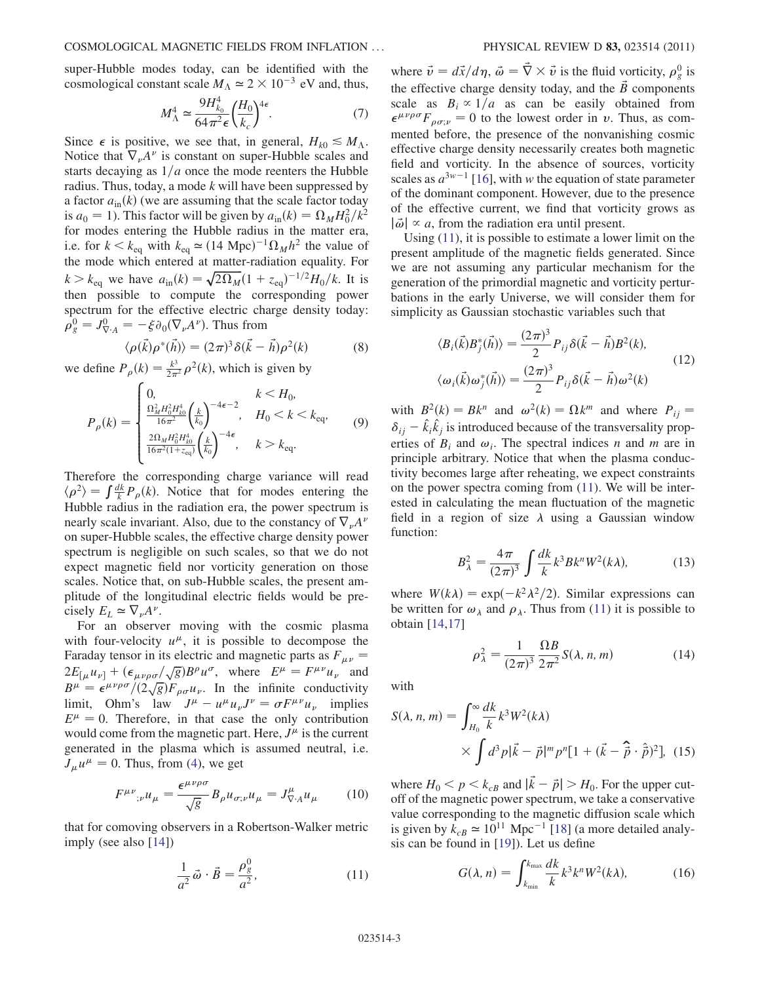super-Hubble modes today, can be identified with the cosmological constant scale  $M_A \simeq 2 \times 10^{-3}$  eV and, thus,

$$
M_{\Lambda}^{4} \simeq \frac{9H_{k_0}^{4}}{64\pi^{2}\epsilon} \left(\frac{H_0}{k_c}\right)^{4\epsilon}.
$$
 (7)

Since  $\epsilon$  is positive, we see that, in general,  $H_{k0} \leq M_{\Lambda}$ . Notice that  $\nabla_{\nu}A^{\nu}$  is constant on super-Hubble scales and starts decaying as  $1/a$  once the mode reenters the Hubble radius. Thus, today, a mode k will have been suppressed by a factor  $a_{\rm in}(k)$  (we are assuming that the scale factor today is  $a_0 = 1$ ). This factor will be given by  $a_{\text{in}}(k) = \Omega_M H_0^2 / k^2$ for modes entering the Hubble radius in the matter era, i.e. for  $k < k_{eq}$  with  $k_{eq} \simeq (14 \text{ Mpc})^{-1} \Omega_M h^2$  the value of the mode which entered at matter-radiation equality. For  $k > k_{\text{eq}}$  we have  $a_{\text{in}}(k) = \sqrt{2\Omega_M}(1 + z_{\text{eq}})^{-1/2}H_0/k$ . It is then possible to compute the corresponding power spectrum for the effective electric charge density today:  $\rho_g^0 = J_{\nabla \cdot A}^0 = -\xi \partial_0 (\nabla_\nu A^\nu)$ . Thus from

$$
\langle \rho(\vec{k}) \rho^*(\vec{h}) \rangle = (2\pi)^3 \delta(\vec{k} - \vec{h}) \rho^2(k) \tag{8}
$$

<span id="page-2-1"></span>we define  $P_{\rho}(k) = \frac{k^3}{2\pi^2} \rho^2(k)$ , which is given by

$$
P_{\rho}(k) = \begin{cases} 0, & k < H_0, \\ \frac{\Omega_M^2 H_0^2 H_{k0}^4}{16\pi^2} \left(\frac{k}{k_0}\right)^{-4\epsilon - 2}, & H_0 < k < k_{\text{eq}}, \\ \frac{2\Omega_M H_0^2 H_{k0}^4}{16\pi^2 (1 + z_{\text{eq}})} \left(\frac{k}{k_0}\right)^{-4\epsilon}, & k > k_{\text{eq}}. \end{cases}
$$
(9)

Therefore the corresponding charge variance will read  $\langle \rho^2 \rangle = \int \frac{dk}{k} P_\rho(k)$ . Notice that for modes entering the Hubble radius in the radiation era, the power spectrum is nearly scale invariant. Also, due to the constancy of  $\nabla_{\nu}A^{\nu}$ on super-Hubble scales, the effective charge density power spectrum is negligible on such scales, so that we do not expect magnetic field nor vorticity generation on those scales. Notice that, on sub-Hubble scales, the present amplitude of the longitudinal electric fields would be precisely  $E_L \simeq \nabla_{\nu} A^{\nu}$ .

For an observer moving with the cosmic plasma with four-velocity  $u^{\mu}$ , it is possible to decompose the Faraday tensor in its electric and magnetic parts as  $F_{\mu\nu}$  =  $2E_{\mu}u_{\nu} + (\epsilon_{\mu\nu\rho\sigma}/\sqrt{g})B^{\rho}u^{\sigma}$ , where  $E^{\mu} = F^{\mu\nu}u_{\nu}$  and  $B^{\mu} = \epsilon^{\mu\nu\rho\sigma}/(2\sqrt{g})F_{\rho\sigma}u_{\nu}$ . In the infinite conductivity limit, Ohm's law  $J^{\mu} - u^{\mu} u_{\nu} J^{\nu} = \sigma F^{\mu \nu} u_{\nu}$  implies  $E^{\mu} = 0$ . Therefore, in that case the only contribution would come from the magnetic part. Here,  $J^{\mu}$  is the current generated in the plasma which is assumed neutral, i.e.  $J_{\mu}u^{\mu} = 0$ . Thus, from ([4](#page-1-2)), we get

$$
F^{\mu\nu}{}_{;\nu}u_{\mu} = \frac{\epsilon^{\mu\nu\rho\sigma}}{\sqrt{g}} B_{\rho}u_{\sigma;\nu}u_{\mu} = J^{\mu}_{\nabla A}u_{\mu} \tag{10}
$$

<span id="page-2-0"></span>that for comoving observers in a Robertson-Walker metric imply (see also [[14](#page-4-13)])

$$
\frac{1}{a^2}\vec{\omega}\cdot\vec{B} = \frac{\rho_g^0}{a^2},\tag{11}
$$

where  $\vec{v} = d\vec{x}/d\eta$ ,  $\vec{\omega} = \vec{\nabla} \times \vec{v}$  is the fluid vorticity,  $\rho_g^0$  is the effective charge density today, and the  $\vec{B}$  components scale as  $B_i \propto 1/a$  as can be easily obtained from  $\epsilon^{\mu\nu\rho\sigma} F_{\rho\sigma;\nu} = 0$  to the lowest order in v. Thus, as commented before, the presence of the nonvanishing cosmic effective charge density necessarily creates both magnetic field and vorticity. In the absence of sources, vorticity scales as  $a^{3w-1}$  [[16\]](#page-4-15), with w the equation of state parameter of the dominant component. However, due to the presence of the effective current, we find that vorticity grows as  $|\vec{\omega}| \propto a$ , from the radiation era until present.

Using [\(11\)](#page-2-0), it is possible to estimate a lower limit on the present amplitude of the magnetic fields generated. Since we are not assuming any particular mechanism for the generation of the primordial magnetic and vorticity perturbations in the early Universe, we will consider them for simplicity as Gaussian stochastic variables such that

$$
\langle B_i(\vec{k})B_j^*(\vec{h})\rangle = \frac{(2\pi)^3}{2}P_{ij}\delta(\vec{k}-\vec{h})B^2(k),
$$
  

$$
\langle \omega_i(\vec{k})\omega_j^*(\vec{h})\rangle = \frac{(2\pi)^3}{2}P_{ij}\delta(\vec{k}-\vec{h})\omega^2(k)
$$
 (12)

with  $B^2(k) = Bk^n$  and  $\omega^2(k) = \Omega k^m$  and where  $P_{ij} =$  $\delta_{ij} - \hat{k}_i \hat{k}_j$  is introduced because of the transversality properties of  $B_i$  and  $\omega_i$ . The spectral indices n and m are in principle arbitrary. Notice that when the plasma conductivity becomes large after reheating, we expect constraints on the power spectra coming from [\(11\)](#page-2-0). We will be interested in calculating the mean fluctuation of the magnetic field in a region of size  $\lambda$  using a Gaussian window function:

$$
B_{\lambda}^{2} = \frac{4\pi}{(2\pi)^{3}} \int \frac{dk}{k} k^{3} B k^{n} W^{2}(k\lambda),
$$
 (13)

where  $W(k\lambda) = \exp(-k^2\lambda^2/2)$ . Similar expressions can be written for  $\omega_{\lambda}$  and  $\rho_{\lambda}$ . Thus from [\(11\)](#page-2-0) it is possible to obtain [[14](#page-4-13),[17](#page-4-16)]

$$
\rho_{\lambda}^2 = \frac{1}{(2\pi)^3} \frac{\Omega B}{2\pi^2} S(\lambda, n, m) \tag{14}
$$

with

$$
S(\lambda, n, m) = \int_{H_0}^{\infty} \frac{dk}{k} k^3 W^2(k\lambda)
$$

$$
\times \int d^3 p |\vec{k} - \vec{p}|^m p^n [1 + (\vec{k} - \hat{\vec{p}} \cdot \hat{\vec{p}})^2], \quad (15)
$$

where  $H_0 < p < k_{cB}$  and  $|\vec{k} - \vec{p}| > H_0$ . For the upper cutoff of the magnetic power spectrum, we take a conservative value corresponding to the magnetic diffusion scale which is given by  $k_{cB} \simeq 10^{11}$  Mpc<sup>-1</sup> [[18](#page-4-17)] (a more detailed analysis can be found in [[19](#page-4-18)]). Let us define

$$
G(\lambda, n) = \int_{k_{\min}}^{k_{\max}} \frac{dk}{k} k^3 k^n W^2(k\lambda), \qquad (16)
$$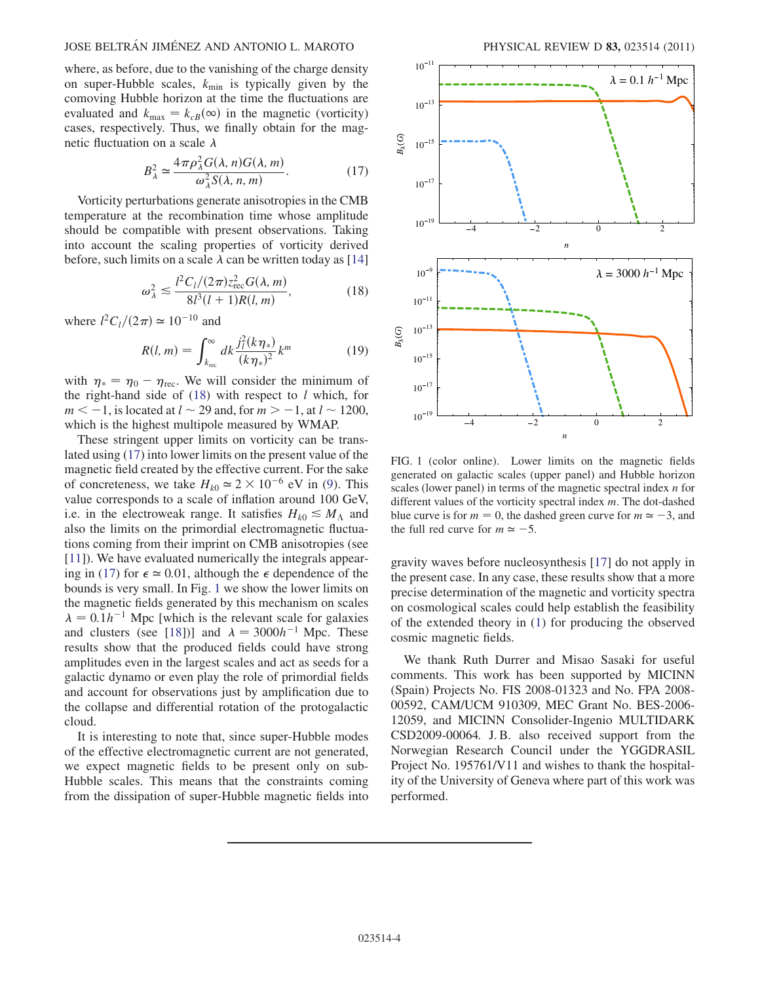## JOSE BELTRÁN JIMÉNEZ AND ANTONIO L. MAROTO PHYSICAL REVIEW D 83, 023514 (2011)

where, as before, due to the vanishing of the charge density on super-Hubble scales,  $k_{\text{min}}$  is typically given by the comoving Hubble horizon at the time the fluctuations are evaluated and  $k_{\text{max}} = k_{cB}(\infty)$  in the magnetic (vorticity) cases, respectively. Thus, we finally obtain for the magnetic fluctuation on a scale  $\lambda$ 

$$
B_{\lambda}^{2} \simeq \frac{4\pi\rho_{\lambda}^{2}G(\lambda, n)G(\lambda, m)}{\omega_{\lambda}^{2}S(\lambda, n, m)}.
$$
 (17)

<span id="page-3-1"></span>Vorticity perturbations generate anisotropies in the CMB temperature at the recombination time whose amplitude should be compatible with present observations. Taking into account the scaling properties of vorticity derived before, such limits on a scale  $\lambda$  can be written today as [\[14\]](#page-4-13)

$$
\omega_{\lambda}^2 \lesssim \frac{l^2 C_l/(2\pi) z_{\text{rec}}^2 G(\lambda, m)}{8l^3(l+1)R(l, m)},
$$
\n(18)

<span id="page-3-0"></span>where  $l^2C_l/(2\pi) \approx 10^{-10}$  and

$$
R(l, m) = \int_{k_{\text{rec}}}^{\infty} dk \frac{j_l^2 (k \eta_*)}{(k \eta_*)^2} k^m \tag{19}
$$

with  $\eta_* = \eta_0 - \eta_{\text{rec}}$ . We will consider the minimum of the right-hand side of  $(18)$  $(18)$  $(18)$  with respect to l which, for  $m < -1$ , is located at  $l \sim 29$  and, for  $m > -1$ , at  $l \sim 1200$ , which is the highest multipole measured by WMAP.

These stringent upper limits on vorticity can be translated using ([17](#page-3-1)) into lower limits on the present value of the magnetic field created by the effective current. For the sake of concreteness, we take  $H_{k0} \approx 2 \times 10^{-6}$  eV in [\(9\)](#page-2-1). This value corresponds to a scale of inflation around 100 GeV, i.e. in the electroweak range. It satisfies  $H_{k0} \lesssim M_{\Lambda}$  and also the limits on the primordial electromagnetic fluctuations coming from their imprint on CMB anisotropies (see [\[11\]](#page-4-9)). We have evaluated numerically the integrals appear-ing in ([17](#page-3-1)) for  $\epsilon \approx 0.01$ , although the  $\epsilon$  dependence of the bounds is very small. In Fig. [1](#page-3-2) we show the lower limits on the magnetic fields generated by this mechanism on scales  $\lambda = 0.1h^{-1}$  Mpc [which is the relevant scale for galaxies and clusters (see [\[18\]](#page-4-17))] and  $\lambda = 3000h^{-1}$  Mpc. These results show that the produced fields could have strong amplitudes even in the largest scales and act as seeds for a galactic dynamo or even play the role of primordial fields and account for observations just by amplification due to the collapse and differential rotation of the protogalactic cloud.

It is interesting to note that, since super-Hubble modes of the effective electromagnetic current are not generated, we expect magnetic fields to be present only on sub-Hubble scales. This means that the constraints coming from the dissipation of super-Hubble magnetic fields into

<span id="page-3-2"></span>

FIG. 1 (color online). Lower limits on the magnetic fields generated on galactic scales (upper panel) and Hubble horizon scales (lower panel) in terms of the magnetic spectral index *n* for different values of the vorticity spectral index m. The dot-dashed blue curve is for  $m = 0$ , the dashed green curve for  $m \approx -3$ , and the full red curve for  $m \approx -5$ .

gravity waves before nucleosynthesis [[17](#page-4-16)] do not apply in the present case. In any case, these results show that a more precise determination of the magnetic and vorticity spectra on cosmological scales could help establish the feasibility of the extended theory in [\(1\)](#page-0-0) for producing the observed cosmic magnetic fields.

We thank Ruth Durrer and Misao Sasaki for useful comments. This work has been supported by MICINN (Spain) Projects No. FIS 2008-01323 and No. FPA 2008- 00592, CAM/UCM 910309, MEC Grant No. BES-2006- 12059, and MICINN Consolider-Ingenio MULTIDARK CSD2009-00064. J. B. also received support from the Norwegian Research Council under the YGGDRASIL Project No. 195761/V11 and wishes to thank the hospitality of the University of Geneva where part of this work was performed.